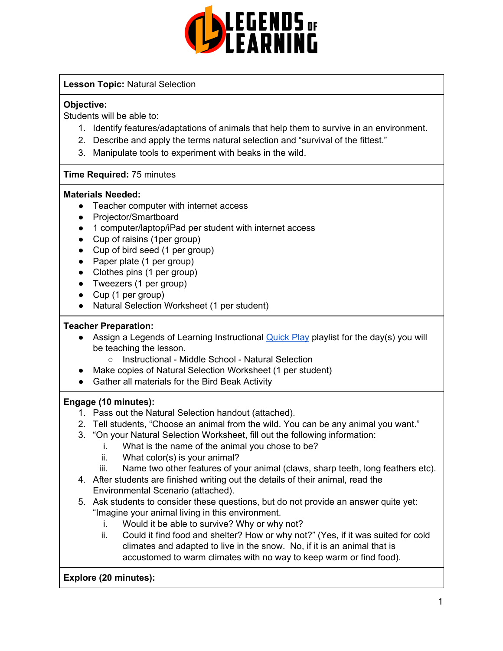

#### **Lesson Topic:** Natural Selection

#### **Objective:**

Students will be able to:

- 1. Identify features/adaptations of animals that help them to survive in an environment.
- 2. Describe and apply the terms natural selection and "survival of the fittest."
- 3. Manipulate tools to experiment with beaks in the wild.

#### **Time Required:** 75 minutes

#### **Materials Needed:**

- Teacher computer with internet access
- Projector/Smartboard
- 1 computer/laptop/iPad per student with internet access
- Cup of raisins (1per group)
- Cup of bird seed (1 per group)
- Paper plate (1 per group)
- Clothes pins (1 per group)
- Tweezers (1 per group)
- Cup (1 per group)
- Natural Selection Worksheet (1 per student)

#### **Teacher Preparation:**

- Assign a Legends of Learning Instructional **[Quick](https://intercom.help/legends-of-learning/en/articles/2701866-assigning-a-quick-play-playlist) Play playlist for the day(s)** you will be teaching the lesson.
	- Instructional Middle School Natural Selection
- Make copies of Natural Selection Worksheet (1 per student)
- Gather all materials for the Bird Beak Activity

#### **Engage (10 minutes):**

- 1. Pass out the Natural Selection handout (attached).
- 2. Tell students, "Choose an animal from the wild. You can be any animal you want."
- 3. "On your Natural Selection Worksheet, fill out the following information:
	- i. What is the name of the animal you chose to be?
	- ii. What color(s) is your animal?
	- iii. Name two other features of your animal (claws, sharp teeth, long feathers etc).
- 4. After students are finished writing out the details of their animal, read the Environmental Scenario (attached).
- 5. Ask students to consider these questions, but do not provide an answer quite yet: "Imagine your animal living in this environment.
	- i. Would it be able to survive? Why or why not?
	- ii. Could it find food and shelter? How or why not?" (Yes, if it was suited for cold climates and adapted to live in the snow. No, if it is an animal that is accustomed to warm climates with no way to keep warm or find food).

**Explore (20 minutes):**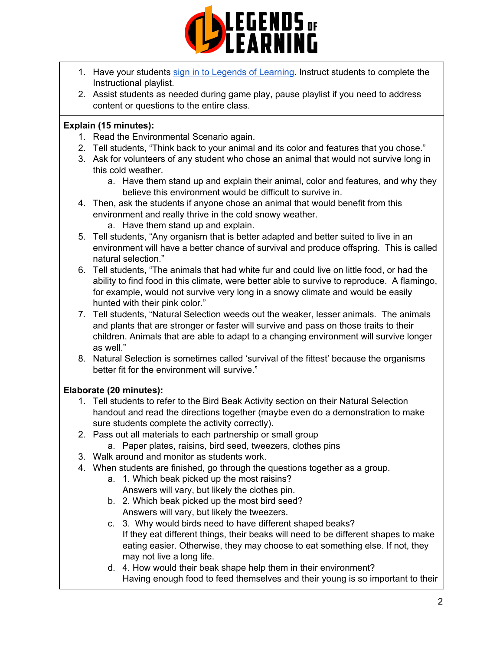

- 1. Have your students sign in to Legends of [Learning](https://intercom.help/legends-of-learning/en/articles/2154920-students-joining-a-playlist). Instruct students to complete the Instructional playlist.
- 2. Assist students as needed during game play, pause playlist if you need to address content or questions to the entire class.

#### **Explain (15 minutes):**

- 1. Read the Environmental Scenario again.
- 2. Tell students, "Think back to your animal and its color and features that you chose."
- 3. Ask for volunteers of any student who chose an animal that would not survive long in this cold weather.
	- a. Have them stand up and explain their animal, color and features, and why they believe this environment would be difficult to survive in.
- 4. Then, ask the students if anyone chose an animal that would benefit from this environment and really thrive in the cold snowy weather.
	- a. Have them stand up and explain.
- 5. Tell students, "Any organism that is better adapted and better suited to live in an environment will have a better chance of survival and produce offspring. This is called natural selection."
- 6. Tell students, "The animals that had white fur and could live on little food, or had the ability to find food in this climate, were better able to survive to reproduce. A flamingo, for example, would not survive very long in a snowy climate and would be easily hunted with their pink color."
- 7. Tell students, "Natural Selection weeds out the weaker, lesser animals. The animals and plants that are stronger or faster will survive and pass on those traits to their children. Animals that are able to adapt to a changing environment will survive longer as well."
- 8. Natural Selection is sometimes called 'survival of the fittest' because the organisms better fit for the environment will survive."

#### **Elaborate (20 minutes):**

- 1. Tell students to refer to the Bird Beak Activity section on their Natural Selection handout and read the directions together (maybe even do a demonstration to make sure students complete the activity correctly).
- 2. Pass out all materials to each partnership or small group a. Paper plates, raisins, bird seed, tweezers, clothes pins
- 3. Walk around and monitor as students work.
- 4. When students are finished, go through the questions together as a group.
	- a. 1. Which beak picked up the most raisins? Answers will vary, but likely the clothes pin.
	- b. 2. Which beak picked up the most bird seed? Answers will vary, but likely the tweezers.
	- c. 3. Why would birds need to have different shaped beaks? If they eat different things, their beaks will need to be different shapes to make eating easier. Otherwise, they may choose to eat something else. If not, they may not live a long life.
	- d. 4. How would their beak shape help them in their environment? Having enough food to feed themselves and their young is so important to their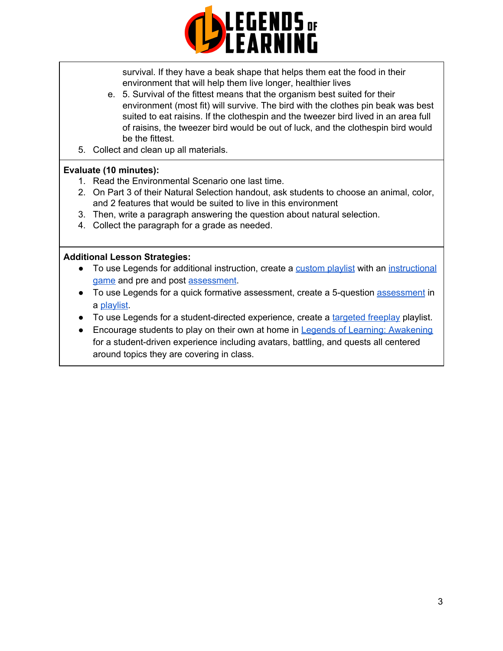

survival. If they have a beak shape that helps them eat the food in their environment that will help them live longer, healthier lives

- e. 5. Survival of the fittest means that the organism best suited for their environment (most fit) will survive. The bird with the clothes pin beak was best suited to eat raisins. If the clothespin and the tweezer bird lived in an area full of raisins, the tweezer bird would be out of luck, and the clothespin bird would be the fittest.
- 5. Collect and clean up all materials.

#### **Evaluate (10 minutes):**

- 1. Read the Environmental Scenario one last time.
- 2. On Part 3 of their Natural Selection handout, ask students to choose an animal, color, and 2 features that would be suited to live in this environment
- 3. Then, write a paragraph answering the question about natural selection.
- 4. Collect the paragraph for a grade as needed.

#### **Additional Lesson Strategies:**

- To use Legends for additional instruction, create a [custom](https://intercom.help/legends-of-learning/en/articles/2154910-creating-a-playlist) playlist with an [instructional](https://intercom.help/legends-of-learning/en/articles/3505828-types-of-games) [game](https://intercom.help/legends-of-learning/en/articles/3505828-types-of-games) and pre and post [assessment](https://intercom.help/legends-of-learning/en/articles/2154913-adding-assessments-to-a-playlist).
- To use Legends for a quick formative [assessment](https://intercom.help/legends-of-learning/en/articles/2154913-adding-assessments-to-a-playlist), create a 5-question assessment in a [playlist](https://intercom.help/legends-of-learning/en/articles/2154910-creating-a-playlist).
- To use Legends for a student-directed experience, create a [targeted](https://intercom.help/legends-of-learning/en/articles/3340814-targeted-freeplay) freeplay playlist.
- Encourage students to play on their own at home in Legends of Learning: [Awakening](https://intercom.help/legends-of-learning/en/articles/2425490-legends-of-learning-awakening) for a student-driven experience including avatars, battling, and quests all centered around topics they are covering in class.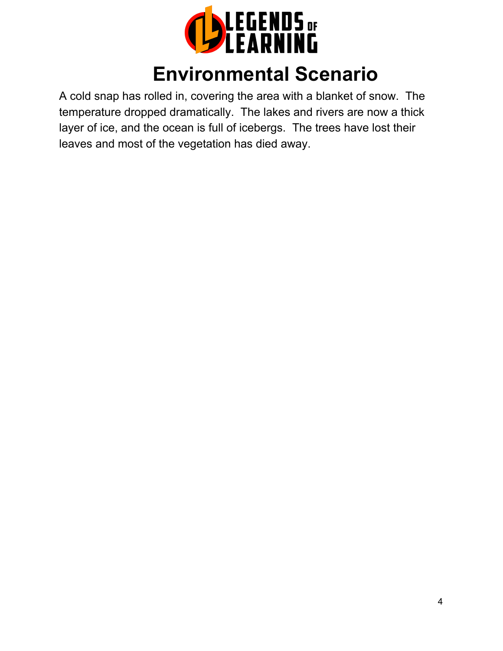

## **Environmental Scenario**

A cold snap has rolled in, covering the area with a blanket of snow. The temperature dropped dramatically. The lakes and rivers are now a thick layer of ice, and the ocean is full of icebergs. The trees have lost their leaves and most of the vegetation has died away.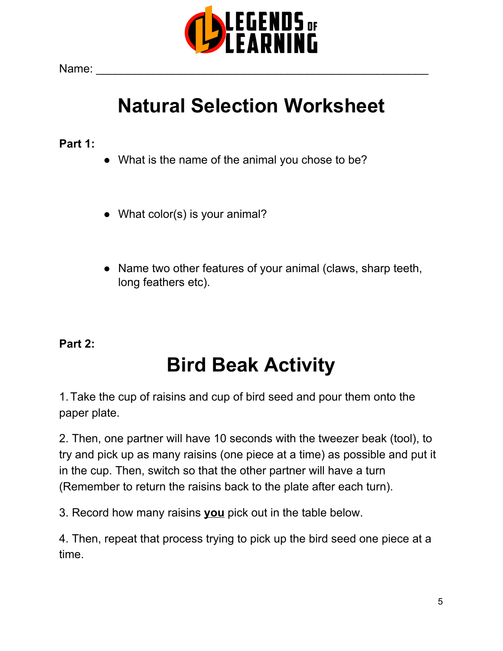

Name: \_\_\_\_\_\_\_\_\_\_\_\_\_\_\_\_\_\_\_\_\_\_\_\_\_\_\_\_\_\_\_\_\_\_\_\_\_\_\_\_\_\_\_\_\_\_\_\_\_\_\_\_

# **Natural Selection Worksheet**

### **Part 1:**

- What is the name of the animal you chose to be?
- What color(s) is your animal?
- Name two other features of your animal (claws, sharp teeth, long feathers etc).

## **Part 2:**

# **Bird Beak Activity**

1.Take the cup of raisins and cup of bird seed and pour them onto the paper plate.

2. Then, one partner will have 10 seconds with the tweezer beak (tool), to try and pick up as many raisins (one piece at a time) as possible and put it in the cup. Then, switch so that the other partner will have a turn (Remember to return the raisins back to the plate after each turn).

3. Record how many raisins **you** pick out in the table below.

4. Then, repeat that process trying to pick up the bird seed one piece at a time.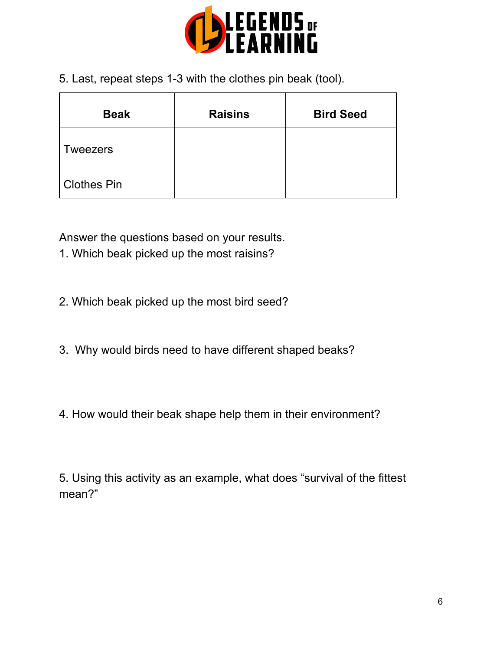

5. Last, repeat steps 1-3 with the clothes pin beak (tool).

| <b>Beak</b>        | <b>Raisins</b> | <b>Bird Seed</b> |
|--------------------|----------------|------------------|
| <b>Tweezers</b>    |                |                  |
| <b>Clothes Pin</b> |                |                  |

Answer the questions based on your results.

- 1. Which beak picked up the most raisins?
- 2. Which beak picked up the most bird seed?
- 3. Why would birds need to have different shaped beaks?
- 4. How would their beak shape help them in their environment?

5. Using this activity as an example, what does "survival of the fittest mean?"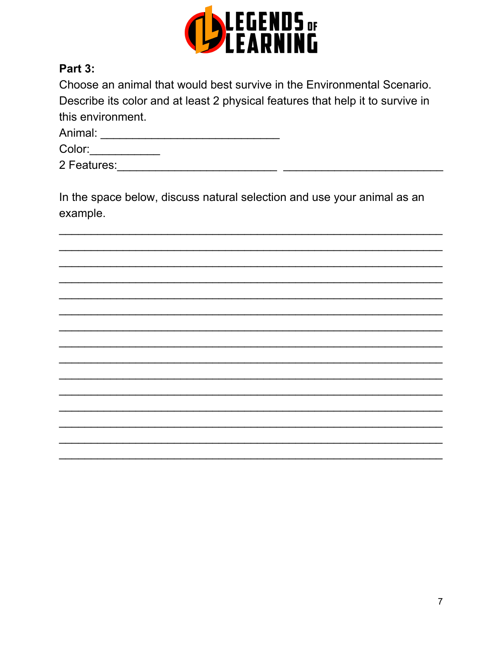

### Part 3:

| Choose an animal that would best survive in the Environmental Scenario.        |
|--------------------------------------------------------------------------------|
| Describe its color and at least 2 physical features that help it to survive in |
| this environment.                                                              |

| Animal:     |  |
|-------------|--|
| Color:      |  |
| 2 Features: |  |

In the space below, discuss natural selection and use your animal as an example.